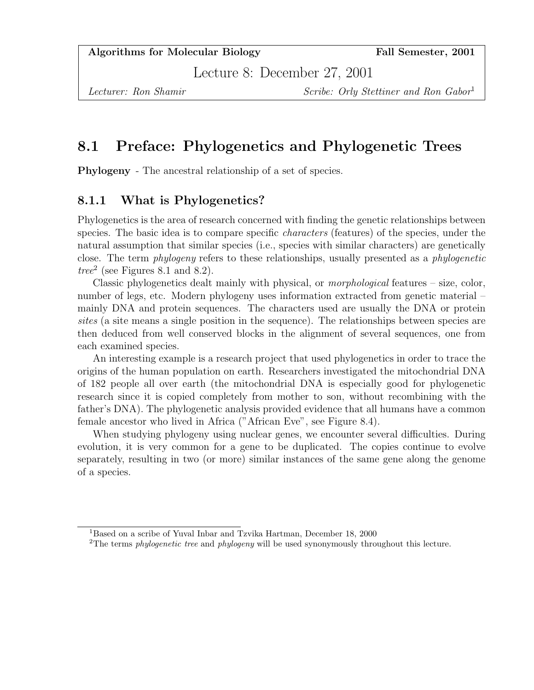Lecture 8: December 27, 2001

Lecturer: Ron Shamir Scribe: Orly Stettiner and Ron Gabor<sup>1</sup>

# 8.1 Preface: Phylogenetics and Phylogenetic Trees

Phylogeny - The ancestral relationship of a set of species.

# 8.1.1 What is Phylogenetics?

Phylogenetics is the area of research concerned with finding the genetic relationships between species. The basic idea is to compare specific characters (features) of the species, under the natural assumption that similar species (i.e., species with similar characters) are genetically close. The term phylogeny refers to these relationships, usually presented as a phylogenetic  $tree<sup>2</sup>$  (see Figures 8.1 and 8.2).

Classic phylogenetics dealt mainly with physical, or morphological features – size, color, number of legs, etc. Modern phylogeny uses information extracted from genetic material – mainly DNA and protein sequences. The characters used are usually the DNA or protein sites (a site means a single position in the sequence). The relationships between species are then deduced from well conserved blocks in the alignment of several sequences, one from each examined species.

An interesting example is a research project that used phylogenetics in order to trace the origins of the human population on earth. Researchers investigated the mitochondrial DNA of 182 people all over earth (the mitochondrial DNA is especially good for phylogenetic research since it is copied completely from mother to son, without recombining with the father's DNA). The phylogenetic analysis provided evidence that all humans have a common female ancestor who lived in Africa ("African Eve", see Figure 8.4).

When studying phylogeny using nuclear genes, we encounter several difficulties. During evolution, it is very common for a gene to be duplicated. The copies continue to evolve separately, resulting in two (or more) similar instances of the same gene along the genome of a species.

<sup>&</sup>lt;sup>1</sup>Based on a scribe of Yuval Inbar and Tzvika Hartman, December 18, 2000

<sup>&</sup>lt;sup>2</sup>The terms *phylogenetic tree* and *phylogeny* will be used synonymously throughout this lecture.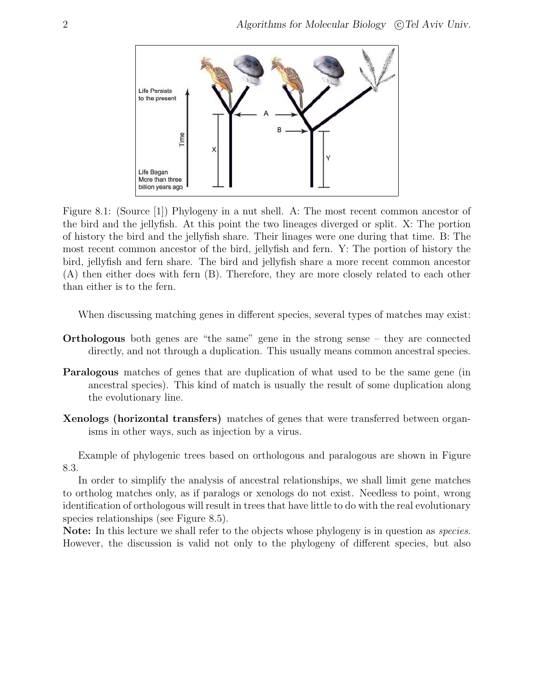

Figure 8.1: (Source [1]) Phylogeny in a nut shell. A: The most recent common ancestor of the bird and the jellyfish. At this point the two lineages diverged or split. X: The portion of history the bird and the jellyfish share. Their linages were one during that time. B: The most recent common ancestor of the bird, jellyfish and fern. Y: The portion of history the bird, jellyfish and fern share. The bird and jellyfish share a more recent common ancestor (A) then either does with fern (B). Therefore, they are more closely related to each other than either is to the fern.

When discussing matching genes in different species, several types of matches may exist:

- Orthologous both genes are "the same" gene in the strong sense they are connected directly, and not through a duplication. This usually means common ancestral species.
- Paralogous matches of genes that are duplication of what used to be the same gene (in ancestral species). This kind of match is usually the result of some duplication along the evolutionary line.
- Xenologs (horizontal transfers) matches of genes that were transferred between organisms in other ways, such as injection by a virus.

Example of phylogenic trees based on orthologous and paralogous are shown in Figure 8.3.

In order to simplify the analysis of ancestral relationships, we shall limit gene matches to ortholog matches only, as if paralogs or xenologs do not exist. Needless to point, wrong identification of orthologous will result in trees that have little to do with the real evolutionary species relationships (see Figure 8.5).

Note: In this lecture we shall refer to the objects whose phylogeny is in question as *species*. However, the discussion is valid not only to the phylogeny of different species, but also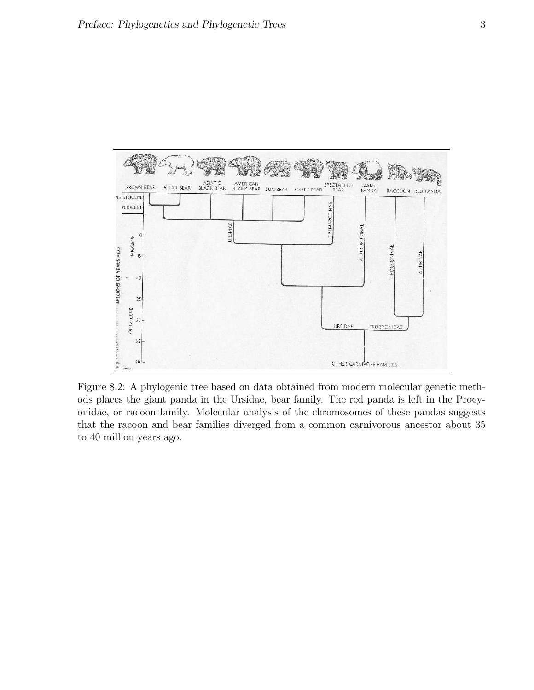

Figure 8.2: A phylogenic tree based on data obtained from modern molecular genetic methods places the giant panda in the Ursidae, bear family. The red panda is left in the Procyonidae, or racoon family. Molecular analysis of the chromosomes of these pandas suggests that the racoon and bear families diverged from a common carnivorous ancestor about 35 to 40 million years ago.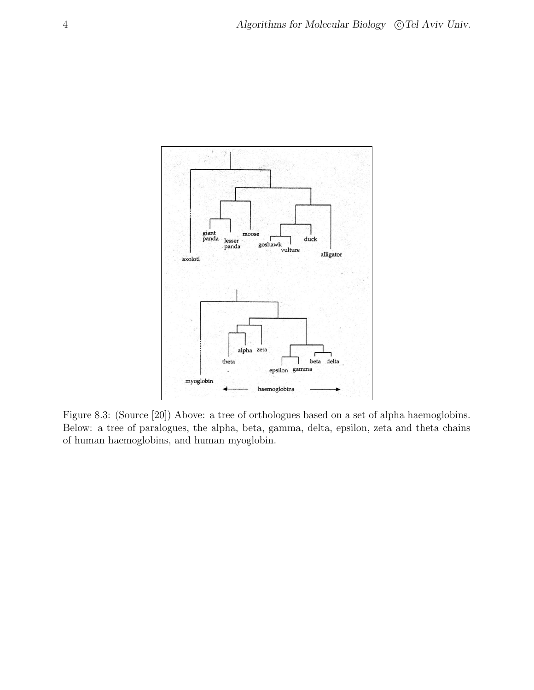

Figure 8.3: (Source [20]) Above: a tree of orthologues based on a set of alpha haemoglobins. Below: a tree of paralogues, the alpha, beta, gamma, delta, epsilon, zeta and theta chains of human haemoglobins, and human myoglobin.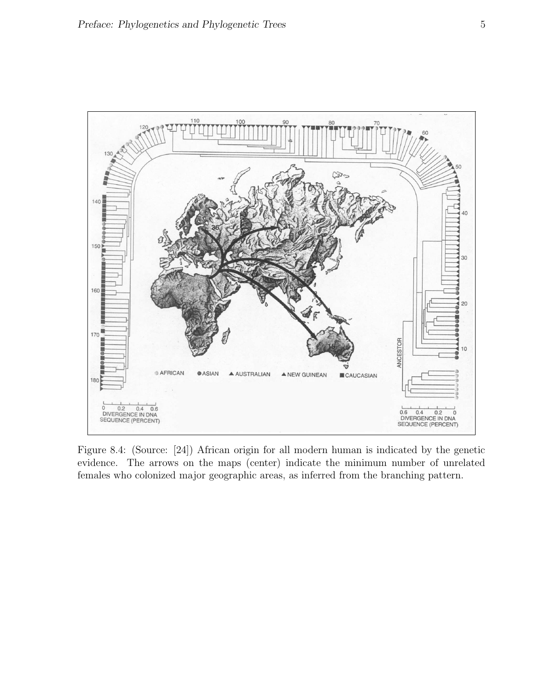

Figure 8.4: (Source: [24]) African origin for all modern human is indicated by the genetic evidence. The arrows on the maps (center) indicate the minimum number of unrelated females who colonized major geographic areas, as inferred from the branching pattern.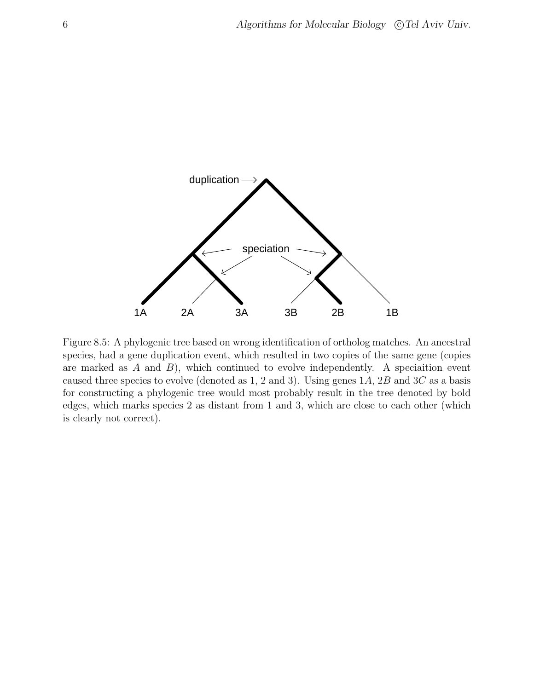

Figure 8.5: A phylogenic tree based on wrong identification of ortholog matches. An ancestral species, had a gene duplication event, which resulted in two copies of the same gene (copies are marked as  $A$  and  $B$ ), which continued to evolve independently. A speciaition event caused three species to evolve (denoted as 1, 2 and 3). Using genes  $1A$ ,  $2B$  and  $3C$  as a basis for constructing a phylogenic tree would most probably result in the tree denoted by bold edges, which marks species 2 as distant from 1 and 3, which are close to each other (which is clearly not correct).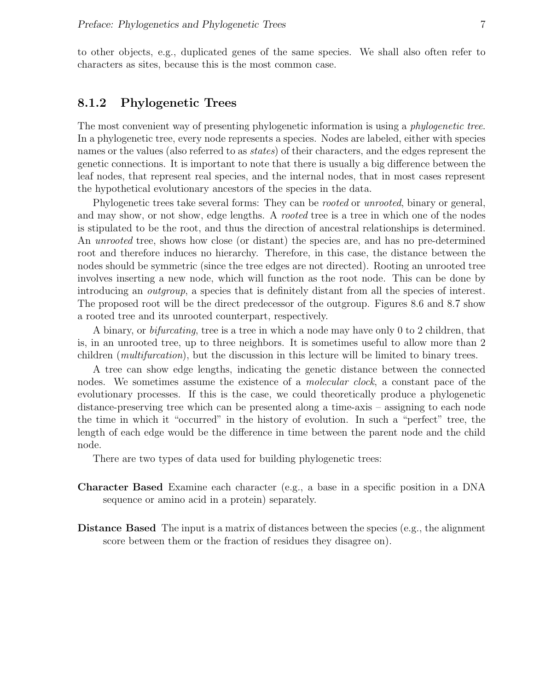to other objects, e.g., duplicated genes of the same species. We shall also often refer to characters as sites, because this is the most common case.

#### 8.1.2 Phylogenetic Trees

The most convenient way of presenting phylogenetic information is using a *phylogenetic tree*. In a phylogenetic tree, every node represents a species. Nodes are labeled, either with species names or the values (also referred to as states) of their characters, and the edges represent the genetic connections. It is important to note that there is usually a big difference between the leaf nodes, that represent real species, and the internal nodes, that in most cases represent the hypothetical evolutionary ancestors of the species in the data.

Phylogenetic trees take several forms: They can be *rooted* or *unrooted*, binary or general, and may show, or not show, edge lengths. A rooted tree is a tree in which one of the nodes is stipulated to be the root, and thus the direction of ancestral relationships is determined. An unrooted tree, shows how close (or distant) the species are, and has no pre-determined root and therefore induces no hierarchy. Therefore, in this case, the distance between the nodes should be symmetric (since the tree edges are not directed). Rooting an unrooted tree involves inserting a new node, which will function as the root node. This can be done by introducing an *outgroup*, a species that is definitely distant from all the species of interest. The proposed root will be the direct predecessor of the outgroup. Figures 8.6 and 8.7 show a rooted tree and its unrooted counterpart, respectively.

A binary, or bifurcating, tree is a tree in which a node may have only 0 to 2 children, that is, in an unrooted tree, up to three neighbors. It is sometimes useful to allow more than 2 children (*multifurcation*), but the discussion in this lecture will be limited to binary trees.

A tree can show edge lengths, indicating the genetic distance between the connected nodes. We sometimes assume the existence of a *molecular clock*, a constant pace of the evolutionary processes. If this is the case, we could theoretically produce a phylogenetic distance-preserving tree which can be presented along a time-axis – assigning to each node the time in which it "occurred" in the history of evolution. In such a "perfect" tree, the length of each edge would be the difference in time between the parent node and the child node.

There are two types of data used for building phylogenetic trees:

- Character Based Examine each character (e.g., a base in a specific position in a DNA sequence or amino acid in a protein) separately.
- Distance Based The input is a matrix of distances between the species (e.g., the alignment score between them or the fraction of residues they disagree on).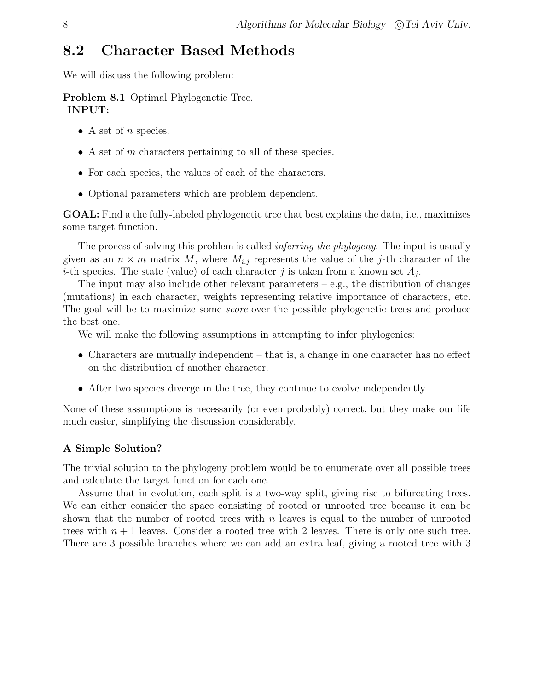# 8.2 Character Based Methods

We will discuss the following problem:

Problem 8.1 Optimal Phylogenetic Tree. INPUT:

- A set of *n* species.
- $\bullet$  A set of m characters pertaining to all of these species.
- For each species, the values of each of the characters.
- Optional parameters which are problem dependent.

GOAL: Find a the fully-labeled phylogenetic tree that best explains the data, i.e., maximizes some target function.

The process of solving this problem is called *inferring the phylogeny*. The input is usually given as an  $n \times m$  matrix M, where  $M_{i,j}$  represents the value of the j-th character of the *i*-th species. The state (value) of each character j is taken from a known set  $A_j$ .

The input may also include other relevant parameters – e.g., the distribution of changes (mutations) in each character, weights representing relative importance of characters, etc. The goal will be to maximize some *score* over the possible phylogenetic trees and produce the best one.

We will make the following assumptions in attempting to infer phylogenies:

- Characters are mutually independent  $-$  that is, a change in one character has no effect on the distribution of another character.
- After two species diverge in the tree, they continue to evolve independently.

None of these assumptions is necessarily (or even probably) correct, but they make our life much easier, simplifying the discussion considerably.

#### A Simple Solution?

The trivial solution to the phylogeny problem would be to enumerate over all possible trees and calculate the target function for each one.

Assume that in evolution, each split is a two-way split, giving rise to bifurcating trees. We can either consider the space consisting of rooted or unrooted tree because it can be shown that the number of rooted trees with  $n$  leaves is equal to the number of unrooted trees with  $n + 1$  leaves. Consider a rooted tree with 2 leaves. There is only one such tree. There are 3 possible branches where we can add an extra leaf, giving a rooted tree with 3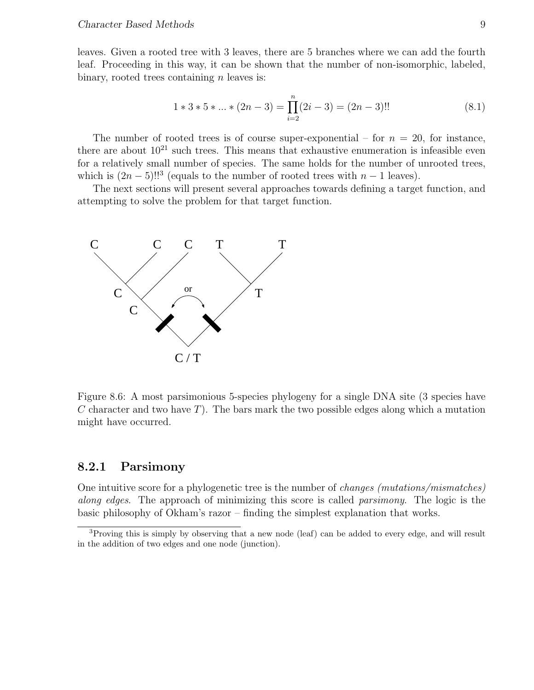leaves. Given a rooted tree with 3 leaves, there are 5 branches where we can add the fourth leaf. Proceeding in this way, it can be shown that the number of non-isomorphic, labeled, binary, rooted trees containing  $n$  leaves is:

$$
1 * 3 * 5 * ... * (2n - 3) = \prod_{i=2}^{n} (2i - 3) = (2n - 3)!!
$$
 (8.1)

The number of rooted trees is of course super-exponential – for  $n = 20$ , for instance, there are about  $10^{21}$  such trees. This means that exhaustive enumeration is infeasible even for a relatively small number of species. The same holds for the number of unrooted trees, which is  $(2n-5)!!^3$  (equals to the number of rooted trees with  $n-1$  leaves).

The next sections will present several approaches towards defining a target function, and attempting to solve the problem for that target function.



Figure 8.6: A most parsimonious 5-species phylogeny for a single DNA site (3 species have C character and two have T). The bars mark the two possible edges along which a mutation might have occurred.

## 8.2.1 Parsimony

One intuitive score for a phylogenetic tree is the number of changes (mutations/mismatches) along edges. The approach of minimizing this score is called *parsimony*. The logic is the basic philosophy of Okham's razor – finding the simplest explanation that works.

<sup>3</sup>Proving this is simply by observing that a new node (leaf) can be added to every edge, and will result in the addition of two edges and one node (junction).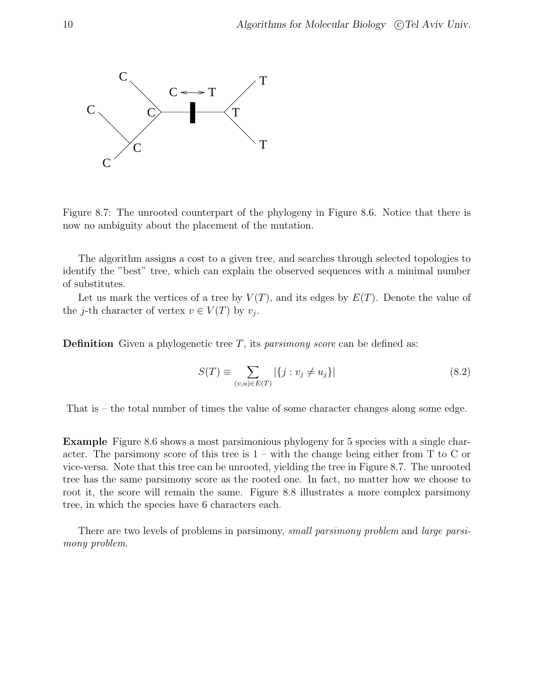

Figure 8.7: The unrooted counterpart of the phylogeny in Figure 8.6. Notice that there is now no ambiguity about the placement of the mutation.

The algorithm assigns a cost to a given tree, and searches through selected topologies to identify the "best" tree, which can explain the observed sequences with a minimal number of substitutes.

Let us mark the vertices of a tree by  $V(T)$ , and its edges by  $E(T)$ . Denote the value of the *j*-th character of vertex  $v \in V(T)$  by  $v_j$ .

**Definition** Given a phylogenetic tree T, its *parsimony score* can be defined as:

$$
S(T) \equiv \sum_{(v,u)\in E(T)} |\{j : v_j \neq u_j\}| \tag{8.2}
$$

That is – the total number of times the value of some character changes along some edge.

Example Figure 8.6 shows a most parsimonious phylogeny for 5 species with a single character. The parsimony score of this tree is  $1 - \text{with the change being either from T to C or}$ vice-versa. Note that this tree can be unrooted, yielding the tree in Figure 8.7. The unrooted tree has the same parsimony score as the rooted one. In fact, no matter how we choose to root it, the score will remain the same. Figure 8.8 illustrates a more complex parsimony tree, in which the species have 6 characters each.

There are two levels of problems in parsimony, *small parsimony problem* and *large parsi*mony problem.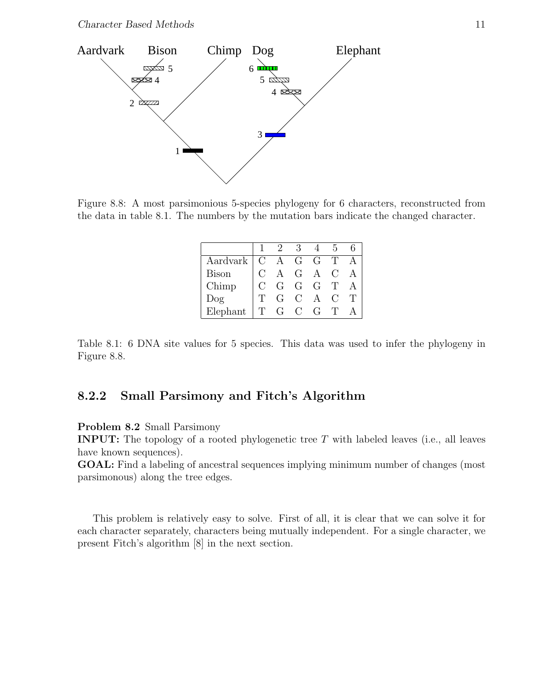

Figure 8.8: A most parsimonious 5-species phylogeny for 6 characters, reconstructed from the data in table 8.1. The numbers by the mutation bars indicate the changed character.

|              |    |                                                                                                                  | З             |                |    |  |
|--------------|----|------------------------------------------------------------------------------------------------------------------|---------------|----------------|----|--|
| Aardvark     |    |                                                                                                                  |               |                |    |  |
| <b>Bison</b> |    |                                                                                                                  |               |                |    |  |
| Chimp        |    | $\begin{array}{ cccc } \hline C & A & G & G & T \\ C & A & G & A & C \\ C & G & G & G & J \\ \hline \end{array}$ |               |                |    |  |
| $\log$       |    | G                                                                                                                | $\rm C$       | $\overline{A}$ | €. |  |
| Elephant     | Π, | $G^-$                                                                                                            | $\mathcal{C}$ | $\overline{G}$ |    |  |

Table 8.1: 6 DNA site values for 5 species. This data was used to infer the phylogeny in Figure 8.8.

# 8.2.2 Small Parsimony and Fitch's Algorithm

Problem 8.2 Small Parsimony

**INPUT:** The topology of a rooted phylogenetic tree  $T$  with labeled leaves (i.e., all leaves have known sequences).

GOAL: Find a labeling of ancestral sequences implying minimum number of changes (most parsimonous) along the tree edges.

This problem is relatively easy to solve. First of all, it is clear that we can solve it for each character separately, characters being mutually independent. For a single character, we present Fitch's algorithm [8] in the next section.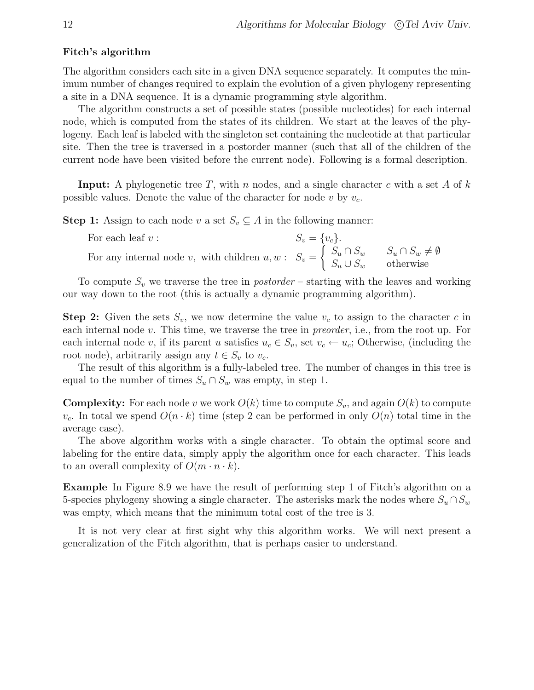#### Fitch's algorithm

The algorithm considers each site in a given DNA sequence separately. It computes the minimum number of changes required to explain the evolution of a given phylogeny representing a site in a DNA sequence. It is a dynamic programming style algorithm.

The algorithm constructs a set of possible states (possible nucleotides) for each internal node, which is computed from the states of its children. We start at the leaves of the phylogeny. Each leaf is labeled with the singleton set containing the nucleotide at that particular site. Then the tree is traversed in a postorder manner (such that all of the children of the current node have been visited before the current node). Following is a formal description.

**Input:** A phylogenetic tree T, with n nodes, and a single character c with a set A of  $k$ possible values. Denote the value of the character for node v by  $v_c$ .

**Step 1:** Assign to each node v a set  $S_v \subseteq A$  in the following manner:

| For each leaf $v$ :                                                                                                                                           | $S_v = \{v_c\}.$ |  |
|---------------------------------------------------------------------------------------------------------------------------------------------------------------|------------------|--|
| For any internal node v, with children $u, w : S_v = \begin{cases} S_u \cap S_w & S_u \cap S_w \neq \emptyset \\ S_u \cup S_w & \text{otherwise} \end{cases}$ |                  |  |

To compute  $S_v$  we traverse the tree in *postorder* – starting with the leaves and working our way down to the root (this is actually a dynamic programming algorithm).

**Step 2:** Given the sets  $S_v$ , we now determine the value  $v_c$  to assign to the character c in each internal node v. This time, we traverse the tree in preorder, i.e., from the root up. For each internal node v, if its parent u satisfies  $u_c \in S_v$ , set  $v_c \leftarrow u_c$ ; Otherwise, (including the root node), arbitrarily assign any  $t \in S_v$  to  $v_c$ .

The result of this algorithm is a fully-labeled tree. The number of changes in this tree is equal to the number of times  $S_u \cap S_w$  was empty, in step 1.

**Complexity:** For each node v we work  $O(k)$  time to compute  $S_v$ , and again  $O(k)$  to compute  $v_c$ . In total we spend  $O(n \cdot k)$  time (step 2 can be performed in only  $O(n)$  total time in the average case).

The above algorithm works with a single character. To obtain the optimal score and labeling for the entire data, simply apply the algorithm once for each character. This leads to an overall complexity of  $O(m \cdot n \cdot k)$ .

Example In Figure 8.9 we have the result of performing step 1 of Fitch's algorithm on a 5-species phylogeny showing a single character. The asterisks mark the nodes where  $S_u \cap S_w$ was empty, which means that the minimum total cost of the tree is 3.

It is not very clear at first sight why this algorithm works. We will next present a generalization of the Fitch algorithm, that is perhaps easier to understand.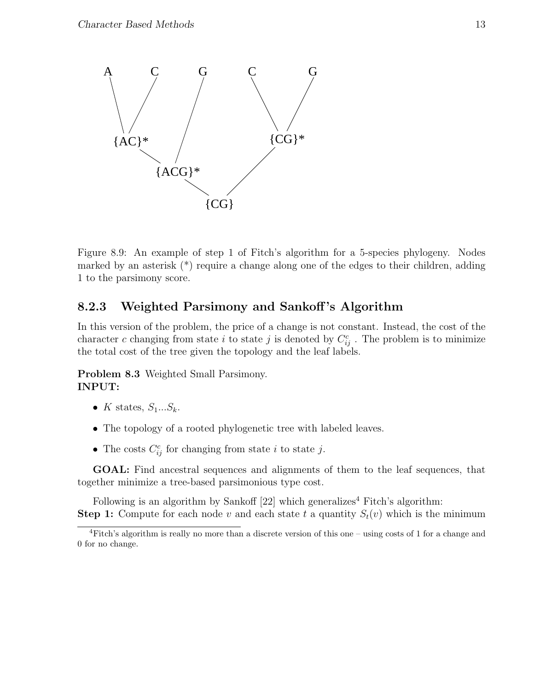

Figure 8.9: An example of step 1 of Fitch's algorithm for a 5-species phylogeny. Nodes marked by an asterisk (\*) require a change along one of the edges to their children, adding 1 to the parsimony score.

# 8.2.3 Weighted Parsimony and Sankoff 's Algorithm

In this version of the problem, the price of a change is not constant. Instead, the cost of the character c changing from state i to state j is denoted by  $C_{ij}^c$ . The problem is to minimize the total cost of the tree given the topology and the leaf labels.

Problem 8.3 Weighted Small Parsimony. INPUT:

- K states,  $S_1...S_k$ .
- The topology of a rooted phylogenetic tree with labeled leaves.
- The costs  $C_{ij}^c$  for changing from state *i* to state *j*.

GOAL: Find ancestral sequences and alignments of them to the leaf sequences, that together minimize a tree-based parsimonious type cost.

Following is an algorithm by Sankoff  $[22]$  which generalizes<sup>4</sup> Fitch's algorithm: **Step 1:** Compute for each node v and each state t a quantity  $S_t(v)$  which is the minimum

<sup>4</sup>Fitch's algorithm is really no more than a discrete version of this one – using costs of 1 for a change and 0 for no change.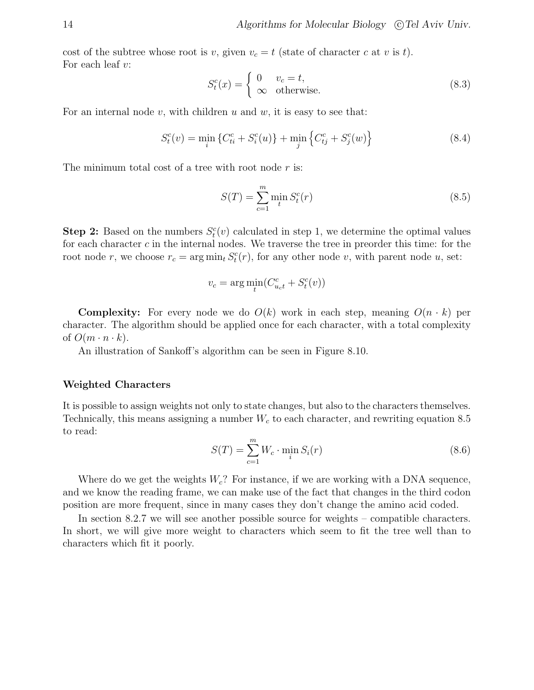cost of the subtree whose root is v, given  $v_c = t$  (state of character c at v is t). For each leaf  $v$ :

$$
S_t^c(x) = \begin{cases} 0 & v_c = t, \\ \infty & \text{otherwise.} \end{cases}
$$
 (8.3)

For an internal node v, with children u and w, it is easy to see that:

$$
S_t^c(v) = \min_i \left\{ C_{ti}^c + S_i^c(u) \right\} + \min_j \left\{ C_{tj}^c + S_j^c(w) \right\} \tag{8.4}
$$

The minimum total cost of a tree with root node  $r$  is:

$$
S(T) = \sum_{c=1}^{m} \min_{t} S_t^c(r)
$$
 (8.5)

**Step 2:** Based on the numbers  $S_t^c(v)$  calculated in step 1, we determine the optimal values for each character  $c$  in the internal nodes. We traverse the tree in preorder this time: for the root node r, we choose  $r_c = \arg \min_t S_t^c(r)$ , for any other node v, with parent node u, set:

$$
v_c = \arg\min_t (C_{u_c t}^c + S_t^c(v))
$$

**Complexity:** For every node we do  $O(k)$  work in each step, meaning  $O(n \cdot k)$  per character. The algorithm should be applied once for each character, with a total complexity of  $O(m \cdot n \cdot k)$ .

An illustration of Sankoff's algorithm can be seen in Figure 8.10.

#### Weighted Characters

It is possible to assign weights not only to state changes, but also to the characters themselves. Technically, this means assigning a number  $W_c$  to each character, and rewriting equation 8.5 to read:

$$
S(T) = \sum_{c=1}^{m} W_c \cdot \min_i S_i(r) \tag{8.6}
$$

Where do we get the weights  $W_c$ ? For instance, if we are working with a DNA sequence, and we know the reading frame, we can make use of the fact that changes in the third codon position are more frequent, since in many cases they don't change the amino acid coded.

In section 8.2.7 we will see another possible source for weights – compatible characters. In short, we will give more weight to characters which seem to fit the tree well than to characters which fit it poorly.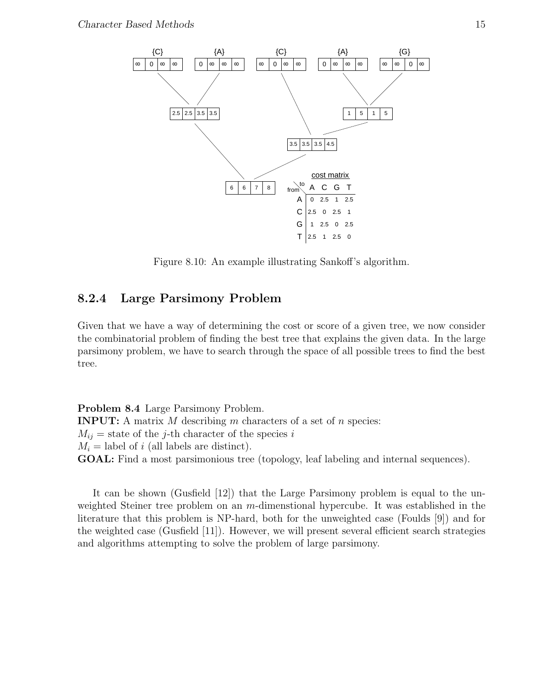

Figure 8.10: An example illustrating Sankoff's algorithm.

# 8.2.4 Large Parsimony Problem

Given that we have a way of determining the cost or score of a given tree, we now consider the combinatorial problem of finding the best tree that explains the given data. In the large parsimony problem, we have to search through the space of all possible trees to find the best tree.

Problem 8.4 Large Parsimony Problem. **INPUT:** A matrix  $M$  describing  $m$  characters of a set of  $n$  species:  $M_{ij}$  = state of the j-th character of the species i  $M_i =$  label of i (all labels are distinct). GOAL: Find a most parsimonious tree (topology, leaf labeling and internal sequences).

It can be shown (Gusfield [12]) that the Large Parsimony problem is equal to the unweighted Steiner tree problem on an m-dimenstional hypercube. It was established in the literature that this problem is NP-hard, both for the unweighted case (Foulds [9]) and for the weighted case (Gusfield [11]). However, we will present several efficient search strategies and algorithms attempting to solve the problem of large parsimony.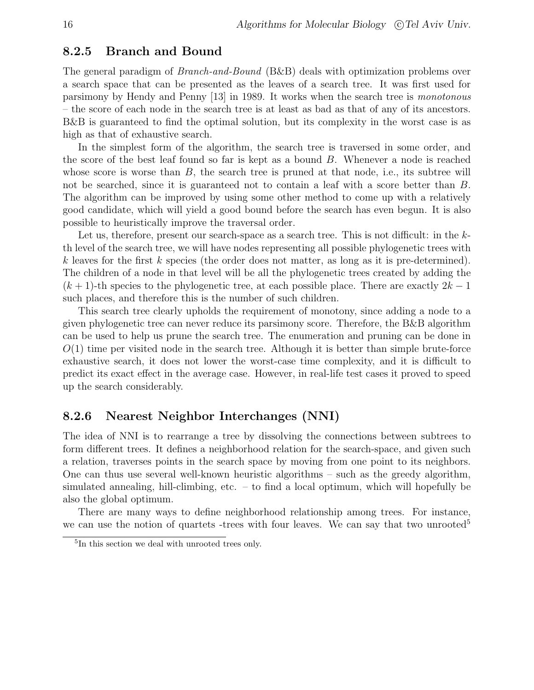#### 8.2.5 Branch and Bound

The general paradigm of Branch-and-Bound (B&B) deals with optimization problems over a search space that can be presented as the leaves of a search tree. It was first used for parsimony by Hendy and Penny [13] in 1989. It works when the search tree is monotonous – the score of each node in the search tree is at least as bad as that of any of its ancestors. B&B is guaranteed to find the optimal solution, but its complexity in the worst case is as high as that of exhaustive search.

In the simplest form of the algorithm, the search tree is traversed in some order, and the score of the best leaf found so far is kept as a bound B. Whenever a node is reached whose score is worse than  $B$ , the search tree is pruned at that node, i.e., its subtree will not be searched, since it is guaranteed not to contain a leaf with a score better than B. The algorithm can be improved by using some other method to come up with a relatively good candidate, which will yield a good bound before the search has even begun. It is also possible to heuristically improve the traversal order.

Let us, therefore, present our search-space as a search tree. This is not difficult: in the  $k$ th level of the search tree, we will have nodes representing all possible phylogenetic trees with k leaves for the first k species (the order does not matter, as long as it is pre-determined). The children of a node in that level will be all the phylogenetic trees created by adding the  $(k + 1)$ -th species to the phylogenetic tree, at each possible place. There are exactly  $2k - 1$ such places, and therefore this is the number of such children.

This search tree clearly upholds the requirement of monotony, since adding a node to a given phylogenetic tree can never reduce its parsimony score. Therefore, the B&B algorithm can be used to help us prune the search tree. The enumeration and pruning can be done in  $O(1)$  time per visited node in the search tree. Although it is better than simple brute-force exhaustive search, it does not lower the worst-case time complexity, and it is difficult to predict its exact effect in the average case. However, in real-life test cases it proved to speed up the search considerably.

## 8.2.6 Nearest Neighbor Interchanges (NNI)

The idea of NNI is to rearrange a tree by dissolving the connections between subtrees to form different trees. It defines a neighborhood relation for the search-space, and given such a relation, traverses points in the search space by moving from one point to its neighbors. One can thus use several well-known heuristic algorithms – such as the greedy algorithm, simulated annealing, hill-climbing, etc. – to find a local optimum, which will hopefully be also the global optimum.

There are many ways to define neighborhood relationship among trees. For instance, we can use the notion of quartets -trees with four leaves. We can say that two unrooted<sup>5</sup>

<sup>5</sup> In this section we deal with unrooted trees only.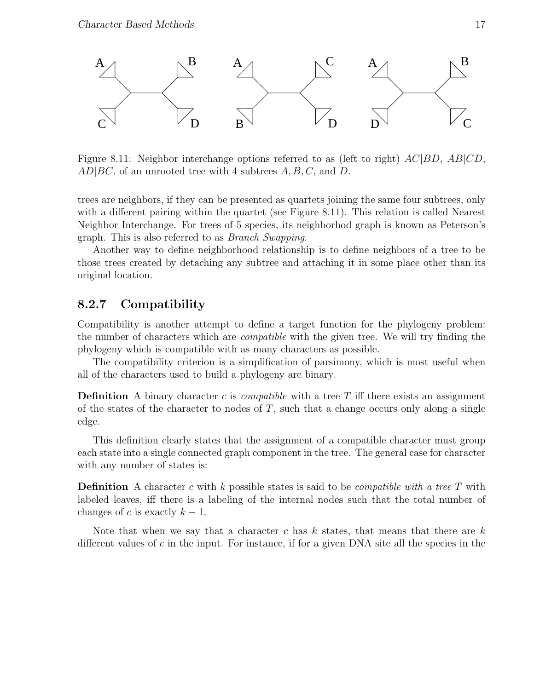

Figure 8.11: Neighbor interchange options referred to as (left to right)  $AC|BD$ ,  $AB|CD$ ,  $AD|BC$ , of an unrooted tree with 4 subtrees  $A, B, C$ , and  $D$ .

trees are neighbors, if they can be presented as quartets joining the same four subtrees, only with a different pairing within the quartet (see Figure 8.11). This relation is called Nearest Neighbor Interchange. For trees of 5 species, its neighborhod graph is known as Peterson's graph. This is also referred to as Branch Swapping.

Another way to define neighborhood relationship is to define neighbors of a tree to be those trees created by detaching any subtree and attaching it in some place other than its original location.

## 8.2.7 Compatibility

Compatibility is another attempt to define a target function for the phylogeny problem: the number of characters which are compatible with the given tree. We will try finding the phylogeny which is compatible with as many characters as possible.

The compatibility criterion is a simplification of parsimony, which is most useful when all of the characters used to build a phylogeny are binary.

**Definition** A binary character c is *compatible* with a tree T iff there exists an assignment of the states of the character to nodes of  $T$ , such that a change occurs only along a single edge.

This definition clearly states that the assignment of a compatible character must group each state into a single connected graph component in the tree. The general case for character with any number of states is:

**Definition** A character c with k possible states is said to be *compatible with a tree T* with labeled leaves, iff there is a labeling of the internal nodes such that the total number of changes of c is exactly  $k - 1$ .

Note that when we say that a character c has  $k$  states, that means that there are  $k$ different values of  $c$  in the input. For instance, if for a given DNA site all the species in the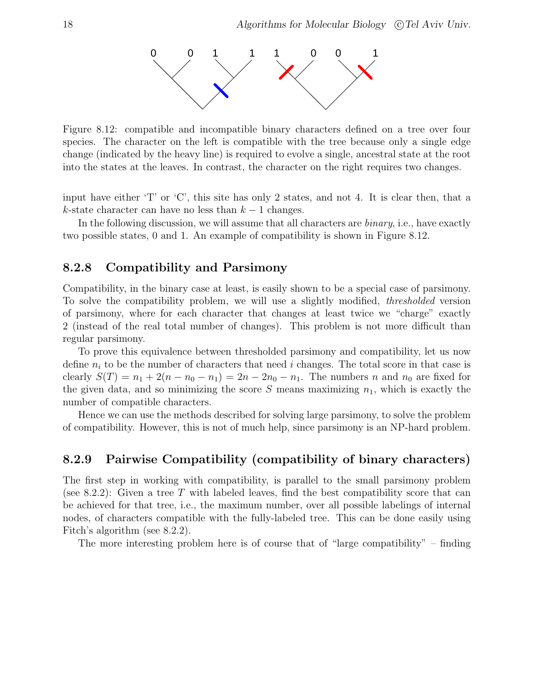

Figure 8.12: compatible and incompatible binary characters defined on a tree over four species. The character on the left is compatible with the tree because only a single edge change (indicated by the heavy line) is required to evolve a single, ancestral state at the root into the states at the leaves. In contrast, the character on the right requires two changes.

input have either 'T' or 'C', this site has only 2 states, and not 4. It is clear then, that a k-state character can have no less than  $k-1$  changes.

In the following discussion, we will assume that all characters are *binary*, i.e., have exactly two possible states, 0 and 1. An example of compatibility is shown in Figure 8.12.

## 8.2.8 Compatibility and Parsimony

Compatibility, in the binary case at least, is easily shown to be a special case of parsimony. To solve the compatibility problem, we will use a slightly modified, thresholded version of parsimony, where for each character that changes at least twice we "charge" exactly 2 (instead of the real total number of changes). This problem is not more difficult than regular parsimony.

To prove this equivalence between thresholded parsimony and compatibility, let us now define  $n_i$  to be the number of characters that need i changes. The total score in that case is clearly  $S(T) = n_1 + 2(n - n_0 - n_1) = 2n - 2n_0 - n_1$ . The numbers n and  $n_0$  are fixed for the given data, and so minimizing the score S means maximizing  $n_1$ , which is exactly the number of compatible characters.

Hence we can use the methods described for solving large parsimony, to solve the problem of compatibility. However, this is not of much help, since parsimony is an NP-hard problem.

#### 8.2.9 Pairwise Compatibility (compatibility of binary characters)

The first step in working with compatibility, is parallel to the small parsimony problem (see 8.2.2): Given a tree T with labeled leaves, find the best compatibility score that can be achieved for that tree, i.e., the maximum number, over all possible labelings of internal nodes, of characters compatible with the fully-labeled tree. This can be done easily using Fitch's algorithm (see 8.2.2).

The more interesting problem here is of course that of "large compatibility" – finding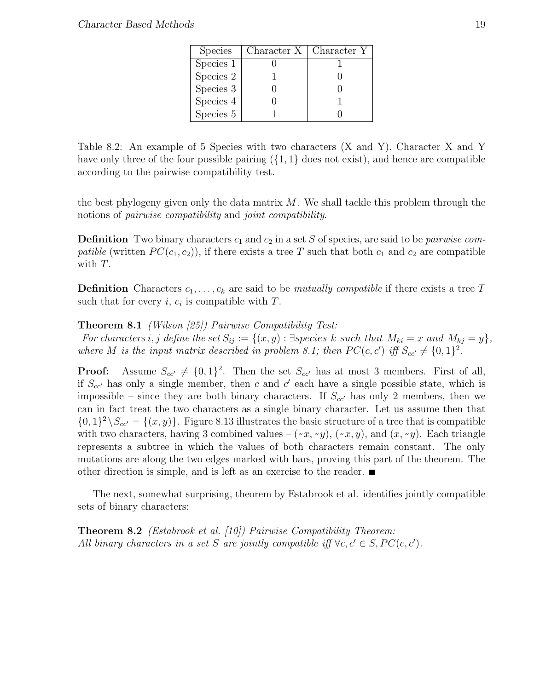| <b>Species</b> | Character $X \mid$ Character Y |  |
|----------------|--------------------------------|--|
| Species 1      |                                |  |
| Species 2      |                                |  |
| Species 3      |                                |  |
| Species 4      |                                |  |
| Species 5      |                                |  |

Table 8.2: An example of 5 Species with two characters (X and Y). Character X and Y have only three of the four possible pairing  $({1, 1}$  does not exist), and hence are compatible according to the pairwise compatibility test.

the best phylogeny given only the data matrix  $M$ . We shall tackle this problem through the notions of pairwise compatibility and joint compatibility.

**Definition** Two binary characters  $c_1$  and  $c_2$  in a set S of species, are said to be *pairwise compatible* (written  $PC(c_1, c_2)$ ), if there exists a tree T such that both  $c_1$  and  $c_2$  are compatible with T.

**Definition** Characters  $c_1, \ldots, c_k$  are said to be *mutually compatible* if there exists a tree T such that for every *i*,  $c_i$  is compatible with  $T$ .

Theorem 8.1 (Wilson [25]) Pairwise Compatibility Test:

For characters i, j define the set  $S_{ij} := \{(x, y) : \exists species \; k \; such \; that \; M_{ki} = x \; and \; M_{kj} = y\},\$ where M is the input matrix described in problem 8.1; then  $PC(c, c')$  iff  $S_{cc'} \neq \{0, 1\}^2$ .

**Proof:** Assume  $S_{cc'} \neq \{0, 1\}^2$ . Then the set  $S_{cc'}$  has at most 3 members. First of all, if  $S_{cc}$  has only a single member, then c and c' each have a single possible state, which is impossible – since they are both binary characters. If  $S_{cc}$  has only 2 members, then we can in fact treat the two characters as a single binary character. Let us assume then that  $\{0,1\}^2 \backslash S_{cc'} = \{(x,y)\}.$  Figure 8.13 illustrates the basic structure of a tree that is compatible with two characters, having 3 combined values –  $(-x, -y)$ ,  $(-x, y)$ , and  $(x, -y)$ . Each triangle represents a subtree in which the values of both characters remain constant. The only mutations are along the two edges marked with bars, proving this part of the theorem. The other direction is simple, and is left as an exercise to the reader.  $\blacksquare$ 

The next, somewhat surprising, theorem by Estabrook et al. identifies jointly compatible sets of binary characters:

Theorem 8.2 (Estabrook et al. [10]) Pairwise Compatibility Theorem: All binary characters in a set S are jointly compatible iff  $\forall c, c' \in S, PC(c, c')$ .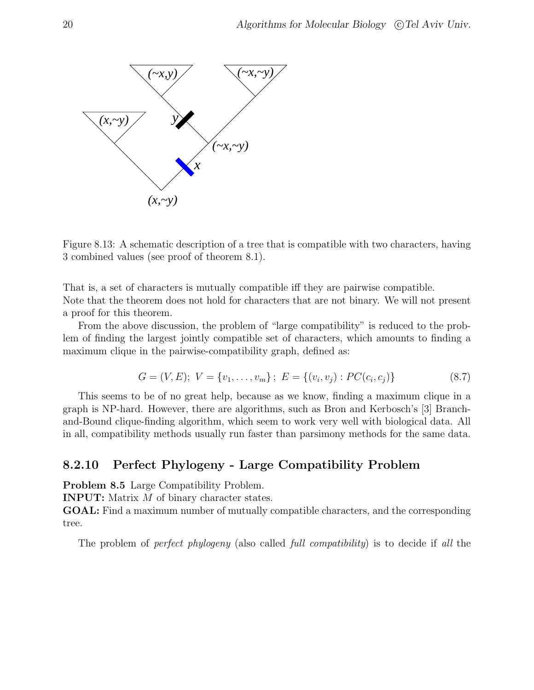

Figure 8.13: A schematic description of a tree that is compatible with two characters, having 3 combined values (see proof of theorem 8.1).

That is, a set of characters is mutually compatible iff they are pairwise compatible. Note that the theorem does not hold for characters that are not binary. We will not present a proof for this theorem.

From the above discussion, the problem of "large compatibility" is reduced to the problem of finding the largest jointly compatible set of characters, which amounts to finding a maximum clique in the pairwise-compatibility graph, defined as:

$$
G = (V, E); V = \{v_1, \dots, v_m\}; E = \{(v_i, v_j) : PC(c_i, c_j)\}
$$
\n(8.7)

This seems to be of no great help, because as we know, finding a maximum clique in a graph is NP-hard. However, there are algorithms, such as Bron and Kerbosch's [3] Branchand-Bound clique-finding algorithm, which seem to work very well with biological data. All in all, compatibility methods usually run faster than parsimony methods for the same data.

## 8.2.10 Perfect Phylogeny - Large Compatibility Problem

Problem 8.5 Large Compatibility Problem.

INPUT: Matrix M of binary character states.

GOAL: Find a maximum number of mutually compatible characters, and the corresponding tree.

The problem of *perfect phylogeny* (also called *full compatibility*) is to decide if all the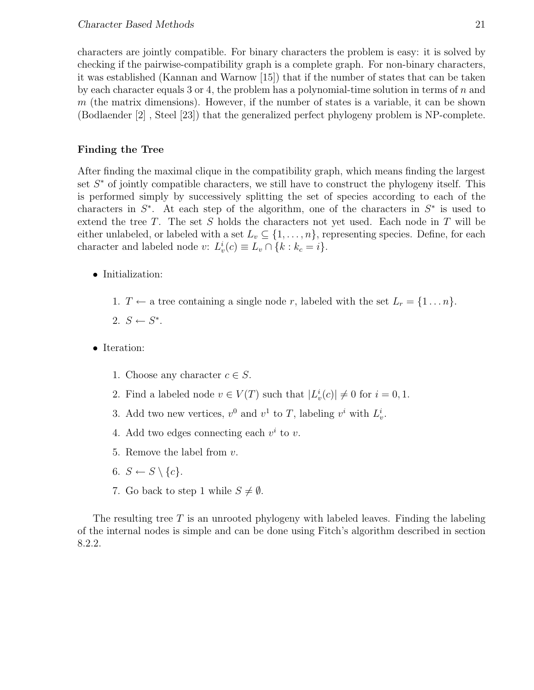characters are jointly compatible. For binary characters the problem is easy: it is solved by checking if the pairwise-compatibility graph is a complete graph. For non-binary characters, it was established (Kannan and Warnow [15]) that if the number of states that can be taken by each character equals 3 or 4, the problem has a polynomial-time solution in terms of  $n$  and  $m$  (the matrix dimensions). However, if the number of states is a variable, it can be shown (Bodlaender [2] , Steel [23]) that the generalized perfect phylogeny problem is NP-complete.

#### Finding the Tree

After finding the maximal clique in the compatibility graph, which means finding the largest set  $S^*$  of jointly compatible characters, we still have to construct the phylogeny itself. This is performed simply by successively splitting the set of species according to each of the characters in  $S^*$ . At each step of the algorithm, one of the characters in  $S^*$  is used to extend the tree T. The set S holds the characters not yet used. Each node in T will be either unlabeled, or labeled with a set  $L_v \subseteq \{1, \ldots, n\}$ , representing species. Define, for each character and labeled node v:  $L_v^i(c) \equiv L_v \cap \{k : k_c = i\}.$ 

- Initialization:
	- 1.  $T \leftarrow$  a tree containing a single node r, labeled with the set  $L_r = \{1 \dots n\}$ .
	- 2.  $S \leftarrow S^*$ .
- Iteration:
	- 1. Choose any character  $c \in S$ .
	- 2. Find a labeled node  $v \in V(T)$  such that  $|L_v^i(c)| \neq 0$  for  $i = 0, 1$ .
	- 3. Add two new vertices,  $v^0$  and  $v^1$  to T, labeling  $v^i$  with  $L_v^i$ .
	- 4. Add two edges connecting each  $v^i$  to v.
	- 5. Remove the label from v.
	- 6.  $S \leftarrow S \setminus \{c\}.$
	- 7. Go back to step 1 while  $S \neq \emptyset$ .

The resulting tree  $T$  is an unrooted phylogeny with labeled leaves. Finding the labeling of the internal nodes is simple and can be done using Fitch's algorithm described in section 8.2.2.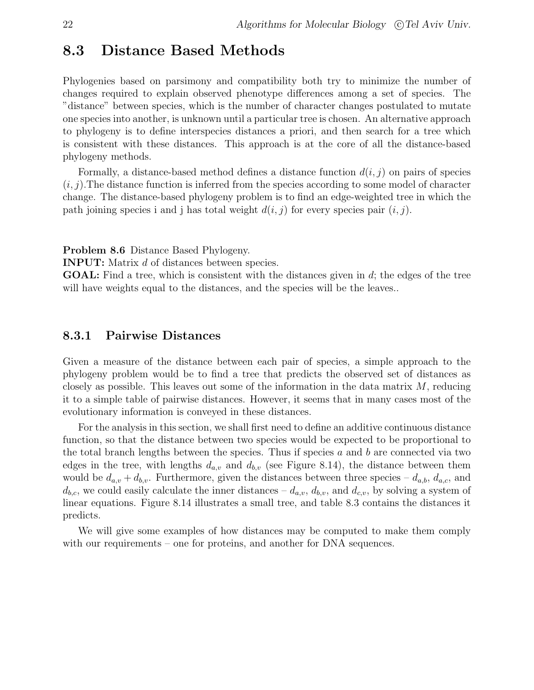# 8.3 Distance Based Methods

Phylogenies based on parsimony and compatibility both try to minimize the number of changes required to explain observed phenotype differences among a set of species. The "distance" between species, which is the number of character changes postulated to mutate one species into another, is unknown until a particular tree is chosen. An alternative approach to phylogeny is to define interspecies distances a priori, and then search for a tree which is consistent with these distances. This approach is at the core of all the distance-based phylogeny methods.

Formally, a distance-based method defines a distance function  $d(i, j)$  on pairs of species  $(i, j)$ . The distance function is inferred from the species according to some model of character change. The distance-based phylogeny problem is to find an edge-weighted tree in which the path joining species i and j has total weight  $d(i, j)$  for every species pair  $(i, j)$ .

Problem 8.6 Distance Based Phylogeny.

INPUT: Matrix d of distances between species.

GOAL: Find a tree, which is consistent with the distances given in d; the edges of the tree will have weights equal to the distances, and the species will be the leaves...

## 8.3.1 Pairwise Distances

Given a measure of the distance between each pair of species, a simple approach to the phylogeny problem would be to find a tree that predicts the observed set of distances as closely as possible. This leaves out some of the information in the data matrix  $M$ , reducing it to a simple table of pairwise distances. However, it seems that in many cases most of the evolutionary information is conveyed in these distances.

For the analysis in this section, we shall first need to define an additive continuous distance function, so that the distance between two species would be expected to be proportional to the total branch lengths between the species. Thus if species  $a$  and  $b$  are connected via two edges in the tree, with lengths  $d_{a,v}$  and  $d_{b,v}$  (see Figure 8.14), the distance between them would be  $d_{a,v} + d_{b,v}$ . Furthermore, given the distances between three species –  $d_{a,b}$ ,  $d_{a,c}$ , and  $d_{b,c}$ , we could easily calculate the inner distances –  $d_{a,v}$ ,  $d_{b,v}$ , and  $d_{c,v}$ , by solving a system of linear equations. Figure 8.14 illustrates a small tree, and table 8.3 contains the distances it predicts.

We will give some examples of how distances may be computed to make them comply with our requirements – one for proteins, and another for DNA sequences.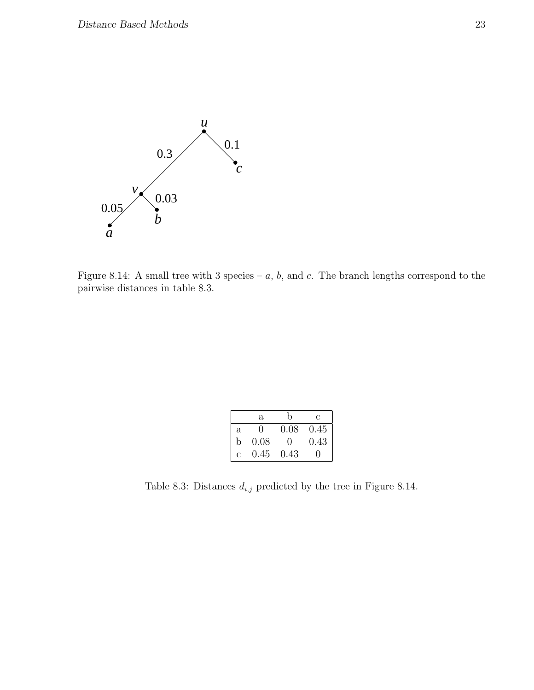

Figure 8.14: A small tree with 3 species –  $a, b$ , and  $c$ . The branch lengths correspond to the pairwise distances in table 8.3.

|              | a                 | h                 | С    |
|--------------|-------------------|-------------------|------|
| $\mathbf{a}$ | $\mathbf{\Omega}$ | 0.08              | 0.45 |
| b            | 0.08              | $\mathbf{\Omega}$ | 0.43 |
| C            | 0.45              | 0.43              |      |

Table 8.3: Distances  $d_{i,j}$  predicted by the tree in Figure 8.14.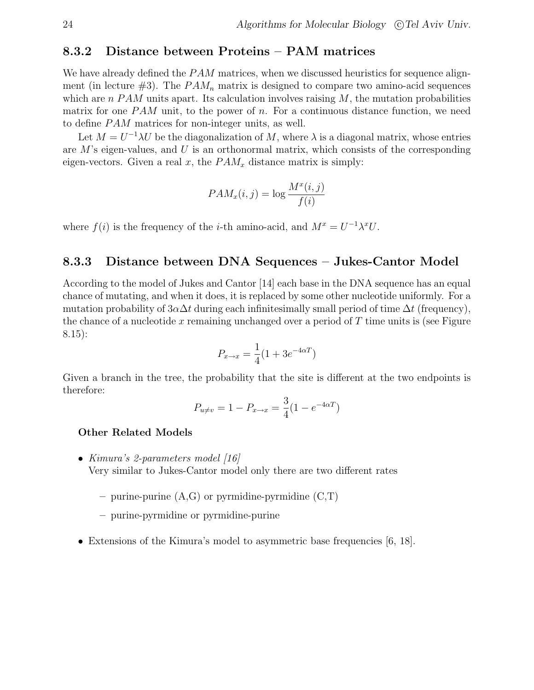#### 8.3.2 Distance between Proteins – PAM matrices

We have already defined the  $PAM$  matrices, when we discussed heuristics for sequence alignment (in lecture  $\#3$ ). The  $PAM_n$  matrix is designed to compare two amino-acid sequences which are n  $PAM$  units apart. Its calculation involves raising  $M$ , the mutation probabilities matrix for one  $PAM$  unit, to the power of n. For a continuous distance function, we need to define *PAM* matrices for non-integer units, as well.

Let  $M = U^{-1} \lambda U$  be the diagonalization of M, where  $\lambda$  is a diagonal matrix, whose entries are  $M$ 's eigen-values, and  $U$  is an orthonormal matrix, which consists of the corresponding eigen-vectors. Given a real x, the  $PAM_x$  distance matrix is simply:

$$
PAM_x(i,j) = \log \frac{M^x(i,j)}{f(i)}
$$

where  $f(i)$  is the frequency of the *i*-th amino-acid, and  $M^x = U^{-1} \lambda^x U$ .

#### 8.3.3 Distance between DNA Sequences – Jukes-Cantor Model

According to the model of Jukes and Cantor [14] each base in the DNA sequence has an equal chance of mutating, and when it does, it is replaced by some other nucleotide uniformly. For a mutation probability of  $3\alpha\Delta t$  during each infinitesimally small period of time  $\Delta t$  (frequency), the chance of a nucleotide x remaining unchanged over a period of  $T$  time units is (see Figure 8.15):

$$
P_{x \to x} = \frac{1}{4}(1 + 3e^{-4\alpha T})
$$

Given a branch in the tree, the probability that the site is different at the two endpoints is therefore:

$$
P_{u \neq v} = 1 - P_{x \to x} = \frac{3}{4} (1 - e^{-4\alpha T})
$$

#### Other Related Models

- Kimura's 2-parameters model [16] Very similar to Jukes-Cantor model only there are two different rates
	- purine-purine  $(A,G)$  or pyrmidine-pyrmidine  $(C,T)$
	- purine-pyrmidine or pyrmidine-purine
- Extensions of the Kimura's model to asymmetric base frequencies  $[6, 18]$ .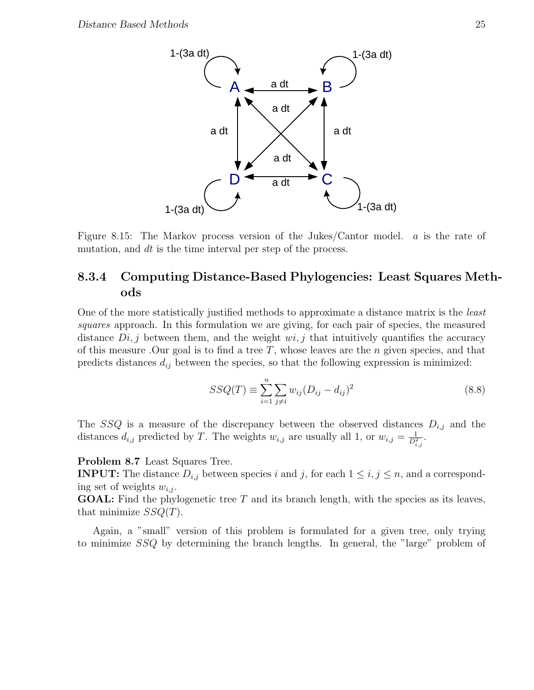

Figure 8.15: The Markov process version of the Jukes/Cantor model. a is the rate of mutation, and dt is the time interval per step of the process.

# 8.3.4 Computing Distance-Based Phylogencies: Least Squares Methods

One of the more statistically justified methods to approximate a distance matrix is the least squares approach. In this formulation we are giving, for each pair of species, the measured distance  $Di, j$  between them, and the weight  $wi, j$  that intuitively quantifies the accuracy of this measure .Our goal is to find a tree  $T$ , whose leaves are the n given species, and that predicts distances  $d_{ij}$  between the species, so that the following expression is minimized:

$$
SSQ(T) \equiv \sum_{i=1}^{n} \sum_{j \neq i} w_{ij} (D_{ij} - d_{ij})^2
$$
 (8.8)

The SSQ is a measure of the discrepancy between the observed distances  $D_{i,j}$  and the distances  $d_{i,j}$  predicted by T. The weights  $w_{i,j}$  are usually all 1, or  $w_{i,j} = \frac{1}{D_{i,j}^2}$ .

#### Problem 8.7 Least Squares Tree.

**INPUT:** The distance  $D_{i,j}$  between species i and j, for each  $1 \leq i, j \leq n$ , and a corresponding set of weights  $w_{i,j}$ .

**GOAL:** Find the phylogenetic tree  $T$  and its branch length, with the species as its leaves, that minimize  $SSQ(T)$ .

Again, a "small" version of this problem is formulated for a given tree, only trying to minimize SSQ by determining the branch lengths. In general, the "large" problem of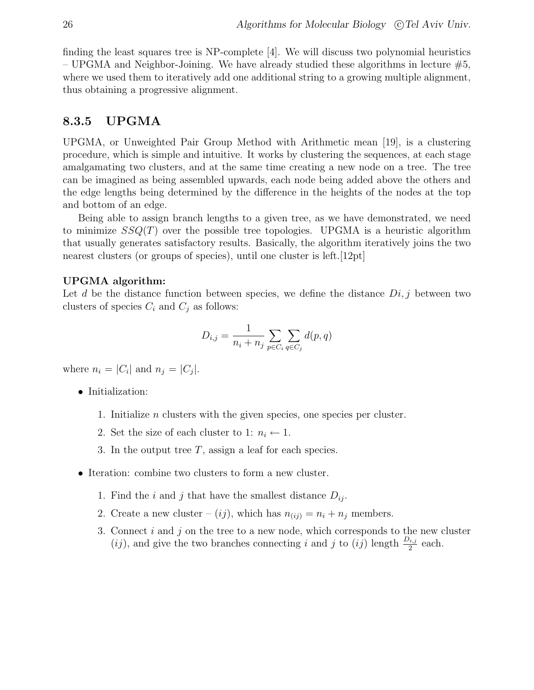finding the least squares tree is NP-complete [4]. We will discuss two polynomial heuristics – UPGMA and Neighbor-Joining. We have already studied these algorithms in lecture  $#5$ , where we used them to iteratively add one additional string to a growing multiple alignment. thus obtaining a progressive alignment.

## 8.3.5 UPGMA

UPGMA, or Unweighted Pair Group Method with Arithmetic mean [19], is a clustering procedure, which is simple and intuitive. It works by clustering the sequences, at each stage amalgamating two clusters, and at the same time creating a new node on a tree. The tree can be imagined as being assembled upwards, each node being added above the others and the edge lengths being determined by the difference in the heights of the nodes at the top and bottom of an edge.

Being able to assign branch lengths to a given tree, as we have demonstrated, we need to minimize  $SSQ(T)$  over the possible tree topologies. UPGMA is a heuristic algorithm that usually generates satisfactory results. Basically, the algorithm iteratively joins the two nearest clusters (or groups of species), until one cluster is left. [12pt]

#### UPGMA algorithm:

Let d be the distance function between species, we define the distance  $Di, j$  between two clusters of species  $C_i$  and  $C_j$  as follows:

$$
D_{i,j} = \frac{1}{n_i + n_j} \sum_{p \in C_i} \sum_{q \in C_j} d(p, q)
$$

where  $n_i = |C_i|$  and  $n_j = |C_j|$ .

- Initialization:
	- 1. Initialize n clusters with the given species, one species per cluster.
	- 2. Set the size of each cluster to 1:  $n_i \leftarrow 1$ .
	- 3. In the output tree  $T$ , assign a leaf for each species.
- Iteration: combine two clusters to form a new cluster.
	- 1. Find the i and j that have the smallest distance  $D_{ij}$ .
	- 2. Create a new cluster  $(ij)$ , which has  $n(i) = n_i + n_j$  members.
	- 3. Connect  $i$  and  $j$  on the tree to a new node, which corresponds to the new cluster  $(ij)$ , and give the two branches connecting i and j to  $(ij)$  length  $\frac{D_{i,j}}{2}$  each.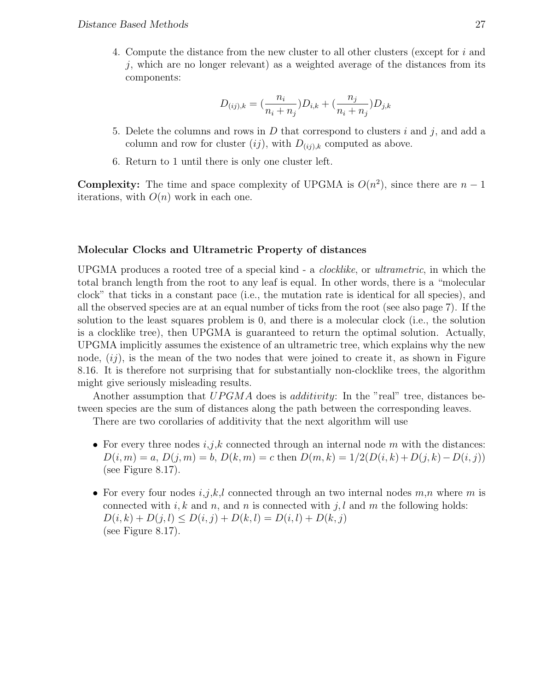4. Compute the distance from the new cluster to all other clusters (except for i and j, which are no longer relevant) as a weighted average of the distances from its components:

$$
D_{(ij),k} = \left(\frac{n_i}{n_i + n_j}\right)D_{i,k} + \left(\frac{n_j}{n_i + n_j}\right)D_{j,k}
$$

- 5. Delete the columns and rows in D that correspond to clusters i and j, and add a column and row for cluster  $(ij)$ , with  $D_{(ij),k}$  computed as above.
- 6. Return to 1 until there is only one cluster left.

**Complexity:** The time and space complexity of UPGMA is  $O(n^2)$ , since there are  $n-1$ iterations, with  $O(n)$  work in each one.

#### Molecular Clocks and Ultrametric Property of distances

UPGMA produces a rooted tree of a special kind - a clocklike, or ultrametric, in which the total branch length from the root to any leaf is equal. In other words, there is a "molecular clock" that ticks in a constant pace (i.e., the mutation rate is identical for all species), and all the observed species are at an equal number of ticks from the root (see also page 7). If the solution to the least squares problem is 0, and there is a molecular clock (i.e., the solution is a clocklike tree), then UPGMA is guaranteed to return the optimal solution. Actually, UPGMA implicitly assumes the existence of an ultrametric tree, which explains why the new node,  $(ij)$ , is the mean of the two nodes that were joined to create it, as shown in Figure 8.16. It is therefore not surprising that for substantially non-clocklike trees, the algorithm might give seriously misleading results.

Another assumption that  $UPGMA$  does is *additivity*: In the "real" tree, distances between species are the sum of distances along the path between the corresponding leaves.

There are two corollaries of additivity that the next algorithm will use

- For every three nodes  $i, j, k$  connected through an internal node m with the distances:  $D(i, m) = a, D(j, m) = b, D(k, m) = c$  then  $D(m, k) = 1/2(D(i, k) + D(j, k) - D(i, j))$ (see Figure 8.17).
- For every four nodes  $i, j, k, l$  connected through an two internal nodes  $m, n$  where m is connected with i, k and n, and n is connected with j, l and m the following holds:  $D(i, k) + D(j, l) \leq D(i, j) + D(k, l) = D(i, l) + D(k, j)$ (see Figure 8.17).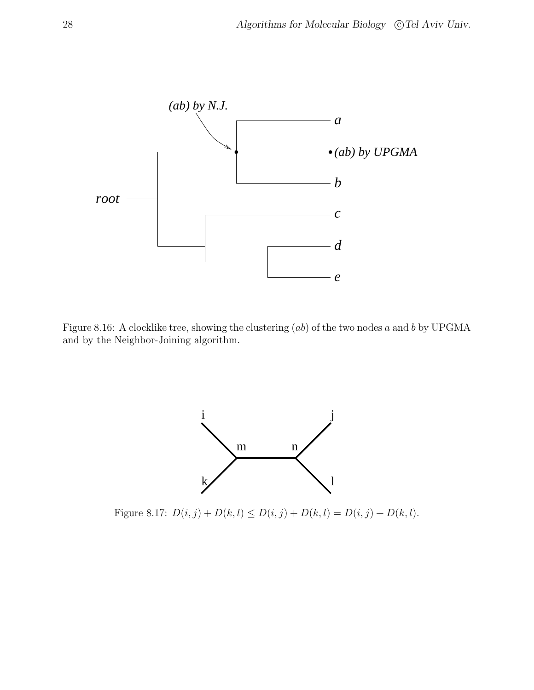

Figure 8.16: A clocklike tree, showing the clustering (ab) of the two nodes a and b by UPGMA and by the Neighbor-Joining algorithm.



Figure 8.17:  $D(i, j) + D(k, l) \le D(i, j) + D(k, l) = D(i, j) + D(k, l).$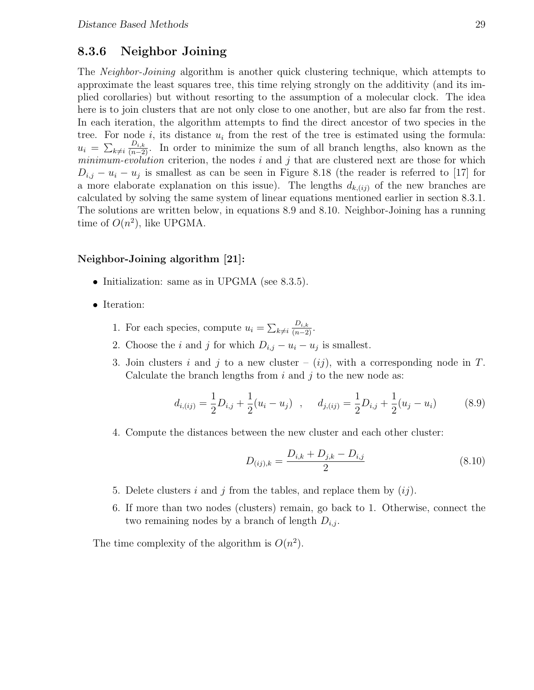## 8.3.6 Neighbor Joining

The Neighbor-Joining algorithm is another quick clustering technique, which attempts to approximate the least squares tree, this time relying strongly on the additivity (and its implied corollaries) but without resorting to the assumption of a molecular clock. The idea here is to join clusters that are not only close to one another, but are also far from the rest. In each iteration, the algorithm attempts to find the direct ancestor of two species in the tree. For node  $i$ , its distance  $u_i$  from the rest of the tree is estimated using the formula:  $u_i = \sum$  $k\neq i$  $\frac{D_{i,k}}{(n-2)}$ . In order to minimize the sum of all branch lengths, also known as the  $minimum-evolution$  criterion, the nodes i and j that are clustered next are those for which  $D_{i,j} - u_i - u_j$  is smallest as can be seen in Figure 8.18 (the reader is referred to [17] for a more elaborate explanation on this issue). The lengths  $d_{k,(ij)}$  of the new branches are calculated by solving the same system of linear equations mentioned earlier in section 8.3.1. The solutions are written below, in equations 8.9 and 8.10. Neighbor-Joining has a running time of  $O(n^2)$ , like UPGMA.

#### Neighbor-Joining algorithm [21]:

- Initialization: same as in UPGMA (see 8.3.5).
- Iteration:

1. For each species, compute  $u_i = \sum$  $k\neq i$  $\frac{D_{i,k}}{(n-2)}$ .

- 2. Choose the *i* and *j* for which  $D_{i,j} u_i u_j$  is smallest.
- 3. Join clusters i and j to a new cluster  $(ij)$ , with a corresponding node in T. Calculate the branch lengths from  $i$  and  $j$  to the new node as:

$$
d_{i,(ij)} = \frac{1}{2}D_{i,j} + \frac{1}{2}(u_i - u_j) \quad , \quad d_{j,(ij)} = \frac{1}{2}D_{i,j} + \frac{1}{2}(u_j - u_i) \tag{8.9}
$$

4. Compute the distances between the new cluster and each other cluster:

$$
D_{(ij),k} = \frac{D_{i,k} + D_{j,k} - D_{i,j}}{2} \tag{8.10}
$$

- 5. Delete clusters i and j from the tables, and replace them by  $(ij)$ .
- 6. If more than two nodes (clusters) remain, go back to 1. Otherwise, connect the two remaining nodes by a branch of length  $D_{i,j}$ .

The time complexity of the algorithm is  $O(n^2)$ .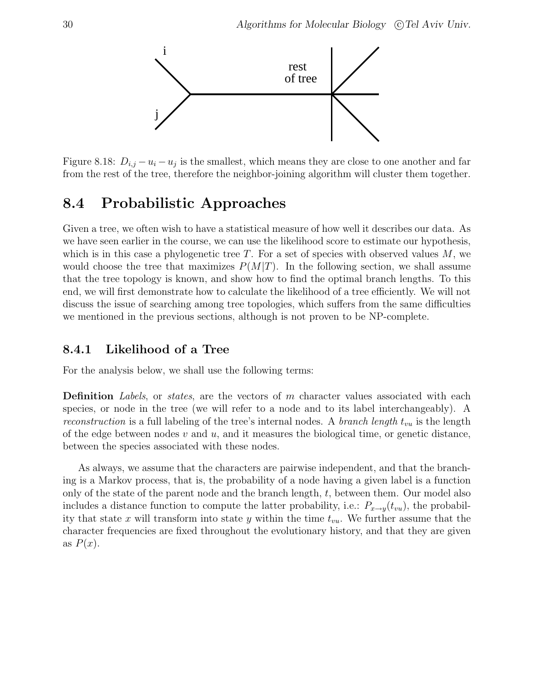

Figure 8.18:  $D_{i,j} - u_i - u_j$  is the smallest, which means they are close to one another and far from the rest of the tree, therefore the neighbor-joining algorithm will cluster them together.

# 8.4 Probabilistic Approaches

Given a tree, we often wish to have a statistical measure of how well it describes our data. As we have seen earlier in the course, we can use the likelihood score to estimate our hypothesis, which is in this case a phylogenetic tree  $T$ . For a set of species with observed values  $M$ , we would choose the tree that maximizes  $P(M|T)$ . In the following section, we shall assume that the tree topology is known, and show how to find the optimal branch lengths. To this end, we will first demonstrate how to calculate the likelihood of a tree efficiently. We will not discuss the issue of searching among tree topologies, which suffers from the same difficulties we mentioned in the previous sections, although is not proven to be NP-complete.

## 8.4.1 Likelihood of a Tree

For the analysis below, we shall use the following terms:

**Definition** Labels, or states, are the vectors of m character values associated with each species, or node in the tree (we will refer to a node and to its label interchangeably). A reconstruction is a full labeling of the tree's internal nodes. A branch length  $t_{vu}$  is the length of the edge between nodes  $v$  and  $u$ , and it measures the biological time, or genetic distance, between the species associated with these nodes.

As always, we assume that the characters are pairwise independent, and that the branching is a Markov process, that is, the probability of a node having a given label is a function only of the state of the parent node and the branch length,  $t$ , between them. Our model also includes a distance function to compute the latter probability, i.e.:  $P_{x\to y}(t_{vu})$ , the probability that state x will transform into state y within the time  $t_{vu}$ . We further assume that the character frequencies are fixed throughout the evolutionary history, and that they are given as  $P(x)$ .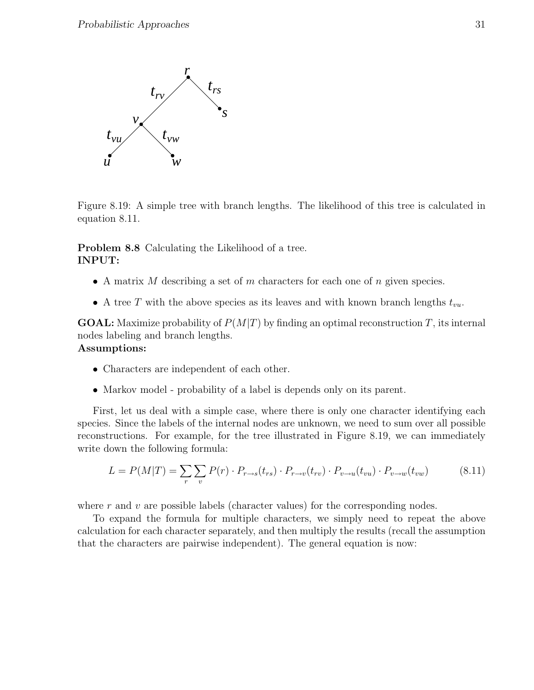

Figure 8.19: A simple tree with branch lengths. The likelihood of this tree is calculated in equation 8.11.

Problem 8.8 Calculating the Likelihood of a tree. INPUT:

- A matrix M describing a set of m characters for each one of n given species.
- A tree T with the above species as its leaves and with known branch lengths  $t_{vu}$ .

**GOAL:** Maximize probability of  $P(M|T)$  by finding an optimal reconstruction T, its internal nodes labeling and branch lengths.

#### Assumptions:

- Characters are independent of each other.
- Markov model probability of a label is depends only on its parent.

First, let us deal with a simple case, where there is only one character identifying each species. Since the labels of the internal nodes are unknown, we need to sum over all possible reconstructions. For example, for the tree illustrated in Figure 8.19, we can immediately write down the following formula:

$$
L = P(M|T) = \sum_{r} \sum_{v} P(r) \cdot P_{r \to s}(t_{rs}) \cdot P_{r \to v}(t_{rv}) \cdot P_{v \to u}(t_{vu}) \cdot P_{v \to w}(t_{vw}) \tag{8.11}
$$

where  $r$  and  $v$  are possible labels (character values) for the corresponding nodes.

To expand the formula for multiple characters, we simply need to repeat the above calculation for each character separately, and then multiply the results (recall the assumption that the characters are pairwise independent). The general equation is now: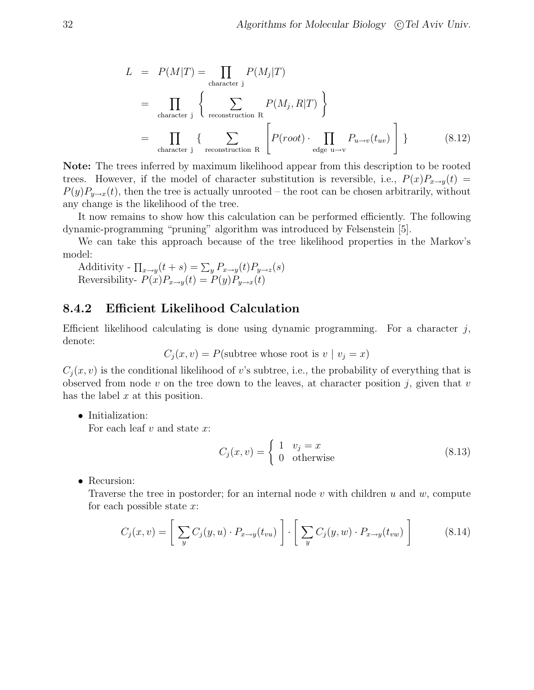$$
L = P(M|T) = \prod_{\text{character } j} P(M_j|T)
$$
  
= 
$$
\prod_{\text{character } j} \left\{ \sum_{\text{reconstruction } R} P(M_j, R|T) \right\}
$$
  
= 
$$
\prod_{\text{character } j} \left\{ \sum_{\text{reconstruction } R} \left[ P(root) \cdot \prod_{\text{edge } u \to v} P_{u \to v}(t_{uv}) \right] \right\}
$$
(8.12)

Note: The trees inferred by maximum likelihood appear from this description to be rooted trees. However, if the model of character substitution is reversible, i.e.,  $P(x)P_{x\rightarrow y}(t)$  $P(y)P_{y\to x}(t)$ , then the tree is actually unrooted – the root can be chosen arbitrarily, without any change is the likelihood of the tree.

It now remains to show how this calculation can be performed efficiently. The following dynamic-programming "pruning" algorithm was introduced by Felsenstein [5].

We can take this approach because of the tree likelihood properties in the Markov's model:

Additivity -  $\prod_{x\rightarrow y}(t+s) = \sum_{y} P_{x\rightarrow y}(t)P_{y\rightarrow z}(s)$ Reversibility-  $P(x)P_{x\to y}(t) = P(y)P_{y\to x}(t)$ 

## 8.4.2 Efficient Likelihood Calculation

Efficient likelihood calculating is done using dynamic programming. For a character  $j$ , denote:

$$
C_j(x, v) = P
$$
(subtree whose root is  $v \mid v_j = x$ )

 $C_i(x, v)$  is the conditional likelihood of v's subtree, i.e., the probability of everything that is observed from node v on the tree down to the leaves, at character position  $j$ , given that v has the label  $x$  at this position.

• Initialization:

For each leaf  $v$  and state  $x$ :

$$
C_j(x,v) = \begin{cases} 1 & v_j = x \\ 0 & \text{otherwise} \end{cases}
$$
 (8.13)

• Recursion:

Traverse the tree in postorder; for an internal node  $v$  with children  $u$  and  $w$ , compute for each possible state  $x$ :

$$
C_j(x,v) = \left[\sum_y C_j(y,u) \cdot P_{x \to y}(t_{vu})\right] \cdot \left[\sum_y C_j(y,w) \cdot P_{x \to y}(t_{vw})\right]
$$
(8.14)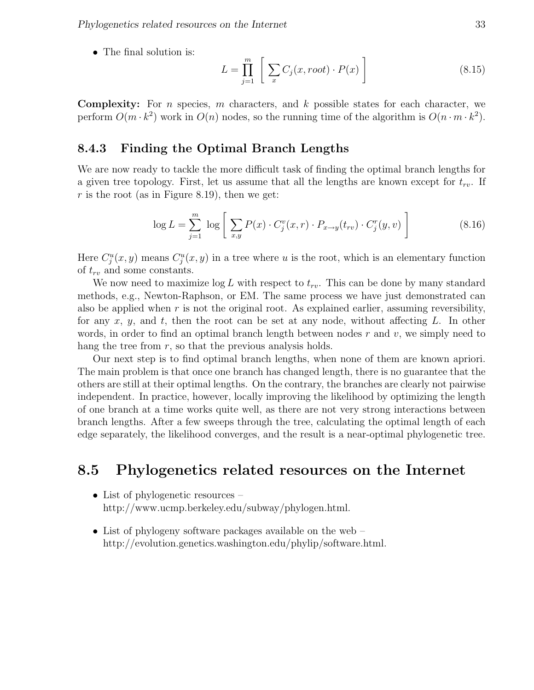• The final solution is:

$$
L = \prod_{j=1}^{m} \left[ \sum_{x} C_j(x, root) \cdot P(x) \right]
$$
 (8.15)

**Complexity:** For *n* species, *m* characters, and  $k$  possible states for each character, we perform  $O(m \cdot k^2)$  work in  $O(n)$  nodes, so the running time of the algorithm is  $O(n \cdot m \cdot k^2)$ .

#### 8.4.3 Finding the Optimal Branch Lengths

We are now ready to tackle the more difficult task of finding the optimal branch lengths for a given tree topology. First, let us assume that all the lengths are known except for  $t_{rv}$ . If r is the root (as in Figure 8.19), then we get:

$$
\log L = \sum_{j=1}^{m} \log \left[ \sum_{x,y} P(x) \cdot C_j^v(x,r) \cdot P_{x \to y}(t_{rv}) \cdot C_j^r(y,v) \right]
$$
(8.16)

Here  $C_j^u(x, y)$  means  $C_j^u(x, y)$  in a tree where u is the root, which is an elementary function of  $t_{rv}$  and some constants.

We now need to maximize  $\log L$  with respect to  $t_{rv}$ . This can be done by many standard methods, e.g., Newton-Raphson, or EM. The same process we have just demonstrated can also be applied when  $r$  is not the original root. As explained earlier, assuming reversibility, for any  $x, y$ , and  $t$ , then the root can be set at any node, without affecting L. In other words, in order to find an optimal branch length between nodes  $r$  and  $v$ , we simply need to hang the tree from  $r$ , so that the previous analysis holds.

Our next step is to find optimal branch lengths, when none of them are known apriori. The main problem is that once one branch has changed length, there is no guarantee that the others are still at their optimal lengths. On the contrary, the branches are clearly not pairwise independent. In practice, however, locally improving the likelihood by optimizing the length of one branch at a time works quite well, as there are not very strong interactions between branch lengths. After a few sweeps through the tree, calculating the optimal length of each edge separately, the likelihood converges, and the result is a near-optimal phylogenetic tree.

# 8.5 Phylogenetics related resources on the Internet

- List of phylogenetic resources http://www.ucmp.berkeley.edu/subway/phylogen.html.
- List of phylogeny software packages available on the web http://evolution.genetics.washington.edu/phylip/software.html.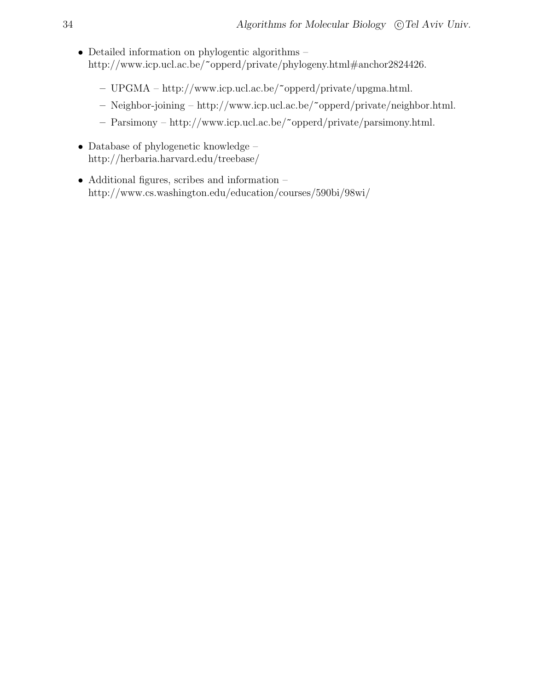- Detailed information on phylogentic algorithms http://www.icp.ucl.ac.be/~opperd/private/phylogeny.html#anchor2824426.
	- UPGMA http://www.icp.ucl.ac.be/~opperd/private/upgma.html.
	- Neighbor-joining http://www.icp.ucl.ac.be/~opperd/private/neighbor.html.
	- Parsimony http://www.icp.ucl.ac.be/~opperd/private/parsimony.html.
- Database of phylogenetic knowledge http://herbaria.harvard.edu/treebase/
- Additional figures, scribes and information http://www.cs.washington.edu/education/courses/590bi/98wi/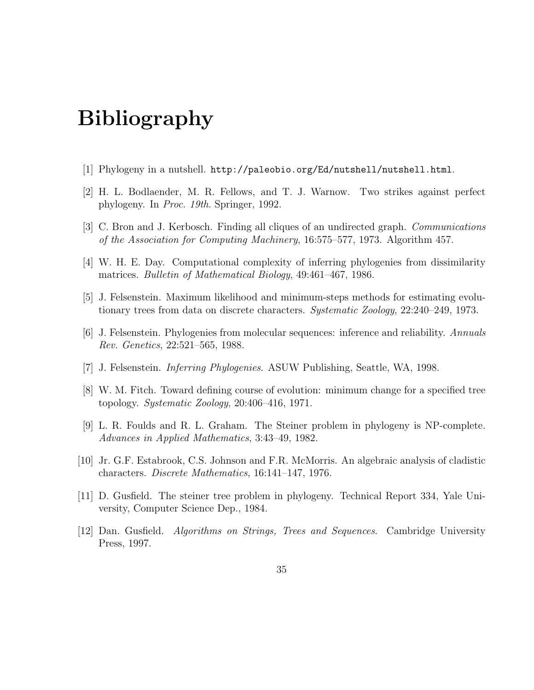# Bibliography

- [1] Phylogeny in a nutshell. http://paleobio.org/Ed/nutshell/nutshell.html.
- [2] H. L. Bodlaender, M. R. Fellows, and T. J. Warnow. Two strikes against perfect phylogeny. In Proc. 19th. Springer, 1992.
- [3] C. Bron and J. Kerbosch. Finding all cliques of an undirected graph. Communications of the Association for Computing Machinery, 16:575–577, 1973. Algorithm 457.
- [4] W. H. E. Day. Computational complexity of inferring phylogenies from dissimilarity matrices. Bulletin of Mathematical Biology, 49:461–467, 1986.
- [5] J. Felsenstein. Maximum likelihood and minimum-steps methods for estimating evolutionary trees from data on discrete characters. Systematic Zoology, 22:240–249, 1973.
- [6] J. Felsenstein. Phylogenies from molecular sequences: inference and reliability. Annuals Rev. Genetics, 22:521–565, 1988.
- [7] J. Felsenstein. Inferring Phylogenies. ASUW Publishing, Seattle, WA, 1998.
- [8] W. M. Fitch. Toward defining course of evolution: minimum change for a specified tree topology. Systematic Zoology, 20:406–416, 1971.
- [9] L. R. Foulds and R. L. Graham. The Steiner problem in phylogeny is NP-complete. Advances in Applied Mathematics, 3:43–49, 1982.
- [10] Jr. G.F. Estabrook, C.S. Johnson and F.R. McMorris. An algebraic analysis of cladistic characters. Discrete Mathematics, 16:141–147, 1976.
- [11] D. Gusfield. The steiner tree problem in phylogeny. Technical Report 334, Yale University, Computer Science Dep., 1984.
- [12] Dan. Gusfield. Algorithms on Strings, Trees and Sequences. Cambridge University Press, 1997.